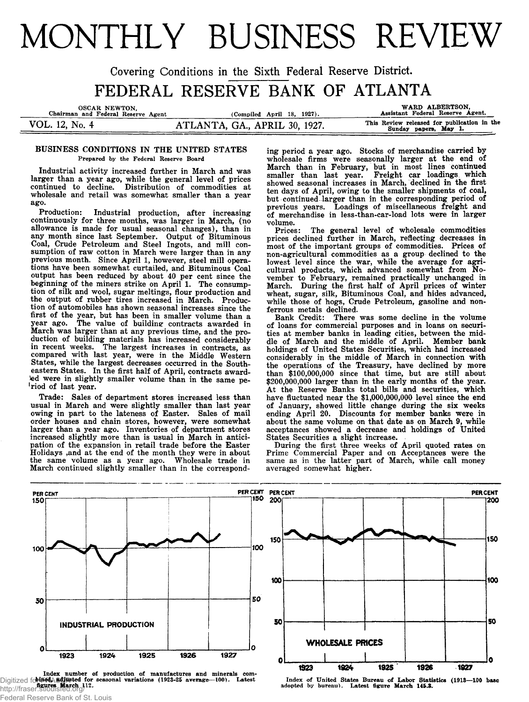# MONTHLY BUSINESS REVIEW

**Covering Conditions in the Sixth Federal Reserve District.** FEDERAL RESERVE BANK OF ATLANTA

| OSCAR NEWTON.<br>Chairman and Federal Reserve Agent | (Compiled April 18, 1927).    | WARD ALBERTSON.<br>Assistant Federal Reserve Agent.                  |
|-----------------------------------------------------|-------------------------------|----------------------------------------------------------------------|
| VOL. 12, No. 4                                      | ATLANTA, GA., APRIL 30, 1927. | This Review released for publication in the<br>Sunday papers, May 1. |

## **BUSINESS CONDITIONS IN THE UNITED STATES Prepared by the Federal Reserve Board**

**Industrial activity increased further in March and was larger than a year ago, while the general level of prices continued to decline. Distribution of commodities at wholesale and retail was somewhat smaller than a year ago.**

**Production: Industrial production, after increasing continuously for three months, was larger in March, (no allowance is made for usual seasonal changes), than in any month since last September. Output of Bituminous Coal, Crude Petroleum and Steel Ingots, and mill consumption of raw cotton in March were larger than in any previous month. Since April 1, however, steel mill operations have been somewhat curtailed, and Bituminous Coal output has been reduced by about 40 per cent since the beginning of the miners strike on April 1. The consumption of silk and wool, sugar meltings, flour production and the output of rubber tires increased in March. Production of automobiles has shown seasonal increases since the first of the year, but has been in smaller volume than a** The value of building contracts awarded in **March was larger than at any previous time, and the production of building materials has increased considerably in recent weeks. The largest increases in contracts, as compared with last year, were in the Middle Western States, while the largest decreases occurred in the Southeastern States. In the first half of April, contracts awarded were in slightly smaller volume than in the same period of last year.**

**Trade: Sales of department stores increased less than usual in March and were slightly smaller than last year owing in part to the lateness of Easter. Sales of mail order houses and chain stores, however, were somewhat larger than a year ago. Inventories of department stores increased slightly more than is usual in March in anticipation of the expansion in retail trade before the Easter Holidays ,and at the end of the month they were in about the same volume as a year ago. Wholesale trade in March continued slightly smaller than in the correspond-** **ing period a year ago. Stocks of merchandise carried by wholesale firms were seasonally larger at the end of March than in February, but in most lines continued smaller than last year. Freight car loadings which showed seasonal increases in March, declined in the first ten days of April, owing to the smaller shipments of coal, but continued larger than in the corresponding period of previous years. Loadings of miscellaneous freight and of merchandise in less-than-car-load lots were in larger volume.**

**Prices: The general level of wholesale commodities prices declined further in March, reflecting decreases in most of the important groups of commodities. Prices of non-agricultural commodities as a group declined to the lowest level since the war, while the average for agricultural products, which advanced somewhat from November to February, remained practically unchanged in March. During the first half of April prices of winter wheat, sugar, silk, Bituminous Coal, and hides advanced, while those of hogs, Crude Petroleum, gasoline and nonferrous metals declined.**

**Bank Credit: There was some decline in the volume of loans for commercial purposes and in loans on securities at member banks in leading cities, between the middle of March and the middle of April. Member bank holdings of United States Securities, which had increased considerably in the middle of March in connection with the operations of the Treasury, have declined by more than \$100,000,000 since that time, but are still about \$200,000,000 larger than in the early months of the year. At the Reserve Banks total bills and securities, which have fluctuated near the \$1,000,000,000 level since the end of January, showed little change during the six weeks ending April 20. Discounts for member banks were in about the same volume on that date as on March 9, while acceptances showed a decrease and holdings of United States Securities a slight increase.**

**During the first three weeks of April quoted rates on Prime Commercial Paper and on Acceptances were the same as in the latter part of March, while call money averaged somewhat higher.**



Index number of production of manufactures and minerals com-Digitized for **FRASCIR** Latest http://fraser.stlouisfed.org/ Federal Reserve Bank of St. Louis



Index of United States Bureau of Labor Statistics (1913-100 base<br>adopted by bureau). Latest figure March 145.3.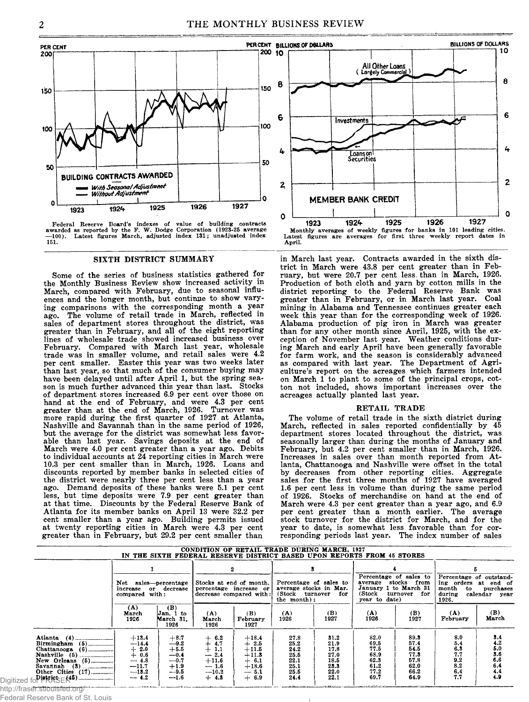PER CENT  $200 - 10$ 200 150 150 100 100 50 50 **BUILDING CONTRACTS AWARDED** With Seasonal Adjustment **Without Adjustment** O 0 1927 1926 1925 1924 1923

**awarded as reported by the F. W. Dodge Corporation (1923-25 average —100). Latest figures March, adjusted index 131; unadjusted index 151.**

#### **SIXTH DISTRICT SUMMARY**

**Some of the series of business statistics gathered for the Monthly Business Review show increased activity in March, compared with February, due to seasonal influences and the longer month, but continue to show varying comparisons with the corresponding month a year ago. The volume of retail trade in March, reflected in sales of department stores throughout the district, was greater than in February, and all of the eight reporting lines of wholesale trade showed increased business over February. Compared with March last year, wholesale trade was in smaller volume, and retail sales were 4.2 per cent smaller. Easter this year was two weeks later than last year, so that much of the consumer buying may have been delayed until after April 1, but the spring season is much further advanced this year than last. Stocks of department stores increased 6.9 per cent over those on hand at the end of February, and were 4.3 per cent greater than at the end of March, 1926. Turnover was more rapid during the first quarter of 1927 at Atlanta, Nashville and Savannah than in the same period of 1926, but the average for the district was somewhat less favorable than last year. Savings deposits at the end of March were 4.0 per cent greater than a year ago. Debits to individual accounts at 24 reporting cities in March were 10.3 per cent smaller than in March, 1926. Loans and discounts reported by member banks in selected cities of the district were nearly three per cent less than a year ago. Demand deposits of these banks were 5.1 per cent less, but time deposits were 7.9 per cent greater than at that time. Discounts by the Federal Reserve Bank of Atlanta for its member banks on April 13 were 32.2 per cent smaller than a year ago. Building permits issued at twenty reporting cities in March were 4.3 per cent greater than in February, but 29.2 per cent smaller than**



**in March last year. Contracts awarded in the sixth district in March were 43.8 per cent greater than in February, but were 20.7 per cent less, than in March, 1926. Production of both cloth and yarn by cotton mills in the district reporting to the Federal Reserve Bank was greater than in February, or in March last year. Coal mining in Alabama and Tennessee continues greater each week this year than for the corresponding week of 1926. Alabama production of pig iron in March was greater than for any other month since April, 1925, with the exception of November last year. Weather conditions during March and early April have been generally favorable for farm work, and the season is considerably advanced as compared with last year. The Department of Agriculture's report on the acreages which farmers intended on March 1 to plant to some of the principal crops, cotton not included, shows important increases over the acreages actually planted last year.**

#### **RETAIL TRADE**

**The volume of retail trade in the sixth district during March, reflected in sales reported confidentially by 45 department stores located throughout the district, was seasonally larger than during the months of January and February, but 4.2 per cent smaller than in March, 1926. Increases in sales over than month reported from Atlanta, Chattanooga and Nashville were offset in the total by decreases from other reporting cities. Aggregate sales for the first three months of 1927 have averaged 1.6 per cent less in volume than during the same period of 1926. Stocks of merchandise on hand at the end of March were 4.3 per cent greater than a year ago, and 6.9 per cent greater than a month earlier. The average stock turnover for the district for March, and for the year to date, is somewhat less favorable than for corresponding periods last year. The index number of sales**

| CONDITION OF RETAIL TRADE DURING MARCH, 1927<br>IN THE SIXTH FEDERAL RESERVE DISTRICT BASED UPON REPORTS FROM 45 STORES     |                                                                                   |                                                                            |                                                                                |                                                                                    |                                                                                        |                                                              |                                                              |                                                               |                                                      |                                                                               |
|-----------------------------------------------------------------------------------------------------------------------------|-----------------------------------------------------------------------------------|----------------------------------------------------------------------------|--------------------------------------------------------------------------------|------------------------------------------------------------------------------------|----------------------------------------------------------------------------------------|--------------------------------------------------------------|--------------------------------------------------------------|---------------------------------------------------------------|------------------------------------------------------|-------------------------------------------------------------------------------|
|                                                                                                                             |                                                                                   |                                                                            |                                                                                | 2                                                                                  |                                                                                        | л.                                                           |                                                              |                                                               |                                                      |                                                                               |
|                                                                                                                             | Net sales-percentage<br>increase or decrease<br>compared with:                    |                                                                            | Stocks at end of month.<br>percentage increase or<br>decrease compared with:   |                                                                                    | Percentage of sales to<br>average stocks in Mar.<br>(Stock turnover for<br>the month): |                                                              | January 1 to March 31<br>(Stock<br>year to date)             | Percentage of sales to<br>average stocks from<br>turnover for | month<br>to<br>during<br>1926.                       | Percentage of outstand-<br>ing orders at end of<br>purchases<br>calendar year |
|                                                                                                                             | (A)<br>March<br>1926                                                              | (B)<br>Jan. 1 to<br>March 31.<br>1926                                      | (A)<br>March<br>1926                                                           | (B)<br>February<br>1927                                                            | (A)<br>1926                                                                            | (B)<br>1927                                                  | (A)<br>1926                                                  | (B)<br>1927                                                   | (A)<br>February                                      | (B)<br>March                                                                  |
| Atlanta $(4)$<br>Chattanooga (6)<br>Nashville (5)<br>New Orleans (5)<br>Other Cities $(17)$<br>OF SHALLSPAR APAPA HOLLOWING | $+13.4$<br>$-14.4$<br>$+2.0$<br>$+ 0.6$<br>$-4.8$<br>$-11.7$<br>$-13.2$<br>$-4.2$ | $+8.7$<br>-9.2<br>$+5.5$<br>$-0.4$<br>$-0.7$<br>$+1.9$<br>$-9.5$<br>$-1.6$ | $+6.2$<br>$+4.7$<br>$+1.1$<br>$-2.4$<br>$+11.6$<br>$-1.6$<br>$-10.2$<br>$+4.3$ | $+18.4$<br>$+2.5$<br>$+11.5$<br>$+11.3$<br>$+ 6.1$<br>$+18.6$<br>$-5.1$<br>$+ 6.9$ | 27.8<br>25.2<br>24.2<br>25.5<br>22.1<br>25.1<br>25.5<br>24.4                           | 31.2<br>21.9<br>17.8<br>27.0<br>18.5<br>23.3<br>22.0<br>22.1 | 82.0<br>69.5<br>77.5<br>68.9<br>62.3<br>61.2<br>77.2<br>69.7 | 89.3<br>57.4<br>54.5<br>77.8<br>57.8<br>62.0<br>66.2<br>64.9  | 8.0<br>5.4<br>6,3<br>7.7<br>9.2<br>8.2<br>6.4<br>7.7 | 3.4<br>4.2<br>$\frac{5.0}{3.6}$<br>6.6<br>6.4<br>4.4<br>4.9                   |

http://fraser.stlouisfed.org/

Digitized

Federal Reserve Bank of St. Louis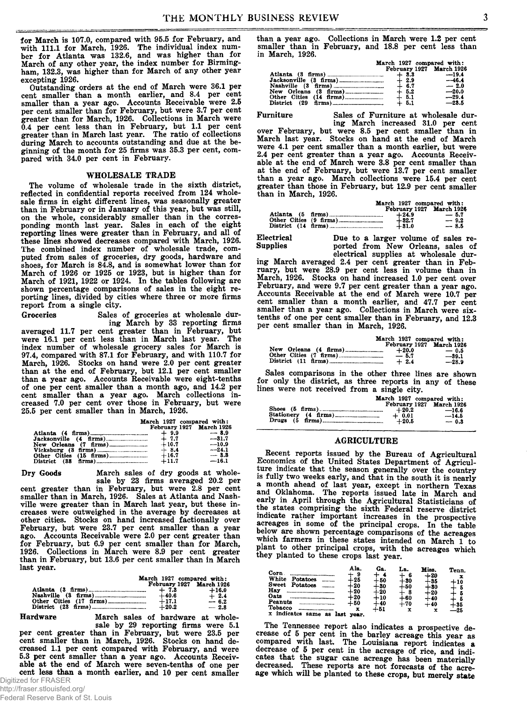**for March is 107.0, compared with 95.5 for February, and with 111.1 for March, 1926. The individual index number for Atlanta was 132.6, and was higher than for March of any other year, the index number for Birmingham, 132.3, was higher than for March of any other year excepting 1926.**

**Outstanding orders at the end of March were 36.1 per cent smaller than a month earlier, and 8.4 per cent smaller than a year ago. Accounts Receivable were 2.5 per cent smaller than for February, but were 3.7 per cent greater than for March, 1926. Collections in March were 0.4 per cent less than in February, but 1.1 per cent greater than in March last year. The ratio of collections during March to accounts outstanding and due at the beginning of the month for 25 firms was 35.3 per cent, compared with 34.0 per cent in February.**

#### **WHOLESALE TRADE**

**The volume of wholesale trade in the sixth district, reflected in confidential reports received from 124 wholesale firms in eight different lines, was seasonally greater than in February or in January of this year, but was still, on the whole, considerably smaller than in the corresponding month last year. Sales in each of the eight reporting lines were greater than in February, and all of these lines showed decreases compared with March, 1926. The combined index number of wholesale trade, computed from sales of groceries, dry goods, hardware and shoes, for March is 84.8, and is somewhat lower than for March of 1926 or 1925 or 1923, but is higher than for March of 1921, 1922 or 1924. In the tables following are shown percentage comparisons of sales in the eight reporting lines, divided by cities where three or more firms report from a single city.**

**Groceries Sales of groceries at wholesale during March by 33 reporting firms**

**averaged 11.7 per cent greater than in February, but were 16.1 per cent less than in March last year. The index number of wholesale grocery sales for March is 97.4, compared with 87.1 for February, and with 110.7 for March, 1926. Stocks on hand were 2.0 per cent greater than at the end of February, but 12.1 per cent smaller than a year ago. Accounts Receivable were eight-tenths of one per cent smaller than a month ago, and 14.2 per cent smaller than a year ago. March collections increased 7.0 per cent over those in February, but were 25.5 per cent smaller than in March, 1926.**

|                       | March 1927 compared with:<br>February 1927 March 1926 |         |
|-----------------------|-------------------------------------------------------|---------|
|                       |                                                       |         |
|                       |                                                       | $-8.9$  |
|                       |                                                       | $-31.7$ |
|                       | $+10.7$                                               | $-10.9$ |
| $Vicksburg (3 \n137)$ | $+8.4$                                                | $-24.1$ |
|                       | $+16.7$                                               | $-3.3$  |
|                       | $+11.7$                                               | $-16.1$ |

#### **Dry Goods**

**March sales of dry goods at wholesale by 23 firms averaged 20.2 per**

**cent greater than in February, but were 2.8 per cent smaller than in March, 1926. Sales at Atlanta and Nashville were greater than in March last year, but these increases were outweighed in the average by decreases at other cities. Stocks on hand increased factionally over February, but were 23.7 per cent smaller than a year ago. Accounts Receivable were 2.0 per cent greater than for February, but 6.9 per cent smaller than for March, 1926. Collections in March were 8.9 per cent greater than in February, but 13.6 per cent smaller than in March last year.**

|                     | March 1927 compared with: |                   |
|---------------------|---------------------------|-------------------|
|                     | February 1927 March 1926  |                   |
| Nashville (3 firms) | $+7.3$<br>$+40.6$         | $+16.0$<br>$+2.4$ |
|                     | $+17.1$                   | $-6.2$            |
|                     | $+20.2$                   | $-2.8$            |

**Hardware March sales of hardware at wholesale by 29 reporting firms were 5.1 per cent greater than in February, but were 23.5 per cent smaller than in March, 1926. Stocks on hand decreased 1.1 per cent compared with February, and were 5.3 per cent smaller than a year ago. Accounts Receivable at the end of March were seven-tenths of one per cent less than a month earlier, and 10 per cent smaller** **than a year ago. Collections in March were 1.2 per cent smaller than in February, and 18.8 per cent less than in March, 1926.**

|                       | March 1927 compared with:<br>February 1927 March 1926 |         |
|-----------------------|-------------------------------------------------------|---------|
|                       | $+3.3$                                                | $-19.4$ |
|                       | $+2.9$                                                | $-46.4$ |
|                       | $+ 6.7$                                               | $-2.0$  |
| New Orleans (3 firms) | $+5.2$                                                | $-20.0$ |
|                       | $+ 5.1$                                               | $-29.4$ |
| District (29          | $+5.1$                                                | $-23.5$ |

**Furniture Sales of Furniture at wholesale during March increased 31.0 per cent**

**over February, but were 8.5 per cent smaller than in March last year. Stocks on hand at the end of March were 4.1 per cent smaller than a month earlier, but were 2.4 per cent greater than a year ago. Accounts Receivable at the end of March were 3.8 per cent smaller than at the end of February, but were 13.7 per cent smaller than a year ago. March collections were 15.4 per cent greater than those in February, but 12.9 per cent smaller than in March, 1926.**

|                        |                    | March 1927 compared with:          |
|------------------------|--------------------|------------------------------------|
|                        | $+24.9$            | February 1927 March 1926<br>$-5.7$ |
| Other Cities (9 firms) | $+32.7$<br>$+31.0$ | $-9.2$<br>$-8.5$                   |

Electrical **Due to a larger volume of sales re-**<br> **Supplies Due to a larger volume of sales of** ported from New Orleans, sales of **electrical supplies at wholesale dur-**

**ing March averaged 2.4 per cent greater than in February, but were 28.9 per cent less in volume than in March, 1926. Stocks on hand increased 1.0 per cent over February, and were 9.7 per cent greater than a year ago. Accounts Receivable at the end of March were 10.7 per cent smaller than a month earlier, and 47.7 per cent smaller than a year ago. Collections in March were sixtenths of one per cent smaller than in February, and 12.3 per cent smaller than in March, 1926.**

|                                                                                | March 1927 compared with:<br>February 1927 March 1926 |
|--------------------------------------------------------------------------------|-------------------------------------------------------|
| New Orleans (4 firms)<br>$+20.0$<br>Other Cities (7 firms)<br>$-5.7$<br>$+2.4$ | $-0.5$<br>$-39.1$<br>$-28.9$                          |

**Sales comparisons in the other three lines are shown for only the district, as three reports in any of these lines were not received from a single city.**

|                      | March 1927 compared with:                                  |                              |
|----------------------|------------------------------------------------------------|------------------------------|
| Stationery (4 firms) | February 1927 March 1926<br>$+20.2$<br>$+ 0.01$<br>$+20.5$ | $-16.6$<br>$-14.5$<br>$-0.3$ |

## **AGRICULTURE**

**Recent reports issued by the Bureau of Agricultural Economics of the United States Department of Agriculture indicate that the season generally over the country is fully two weeks early, and that in the south it is nearly a month ahead of last year, except in northern Texas and Oklahoma. The reports issued late in March and early in April through the Agricultural Statisticians of the states comprising the sixth Federal reserve district indicate rather important increases in the prospective acreages in some of the principal crops. In the table below are shown percentage comparisons of the acreages which farmers in these states intended on March 1 to plant to other principal crops, with the acreages which they planted to these crops last year.**

| Ala.<br>Corn<br>-9<br>White<br>Potatoes<br>- 25<br>Sweet<br><b>Potatoes</b><br>⊦20<br>Hay<br>$+20$<br>Oats<br>-20<br>Peanuts<br>$+50$<br>Tobacco<br>x<br>x indicates<br>same<br>last<br>year.<br>88 | Ga.<br>∔ 50<br>⊢30<br>$+20$<br>$+10$<br>$+40$<br>-- 51 | La.<br>- 6<br>+ 30<br>$+50$<br>-8<br>$\pm$ 60<br>$+70$<br>x | Miss.<br>-1-20<br>- 35<br>1-80<br>$+20$<br>$+40$<br>+40 | Tenn.<br>$+10$<br>⊦85<br>-25 |
|-----------------------------------------------------------------------------------------------------------------------------------------------------------------------------------------------------|--------------------------------------------------------|-------------------------------------------------------------|---------------------------------------------------------|------------------------------|
|-----------------------------------------------------------------------------------------------------------------------------------------------------------------------------------------------------|--------------------------------------------------------|-------------------------------------------------------------|---------------------------------------------------------|------------------------------|

**The Tennessee report also indicates a prospective decrease of 5 per cent in the barley acreage this year as compared with last. The Louisiana report indicates a decrease of 5 per cent in the acreage of rice, and indicates that the sugar cane acreage has been materially decreased. These reports are not forecasts of the acreage which will be planted to these crops, but merely state**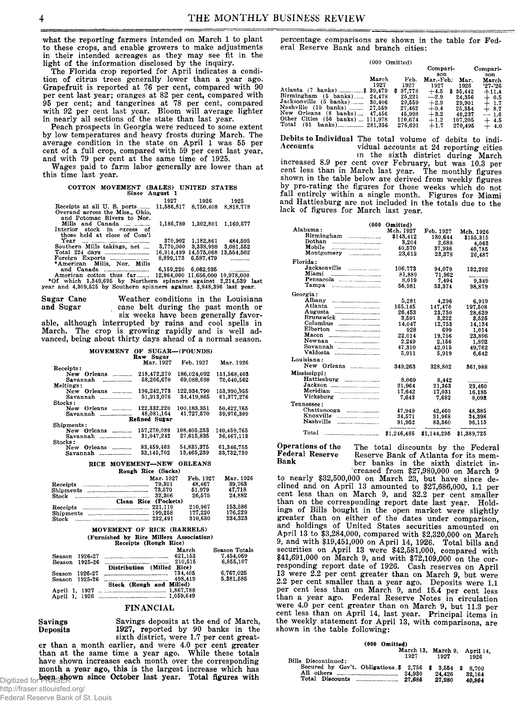**what the reporting farmers intended on March 1 to plant to these crops, and enable growers to make adjustments in their intended acreages as they may see fit in the light of the information disclosed by the inquiry.**

**The Florida crop reported for April indicates a condition of citrus trees generally lower than a year ago. Grapefruit is reported at 76 per cent, compared with 90 per cent last year; oranges at 82 per cent, compared with 95 per cent; and tangerines at 78 per cent, compared with 92 per cent last year. Bloom will average lighter in nearly all sections of the state than last year.**

**Peach prospects in Georgia were reduced to some extent by low temperatures and heavy frosts during March. The average condition in the state on April 1 was 55 per cent of a full crop, compared with 59 per cent last year, and with 79 per cent at the same time of 1925.**

**Wages paid to farm labor generally are lower than at this time last year.**

# **COTTON MOVEMENT (BALES) UNITED STATES Since August 1**

|                                                               | 1927                             | 1926                    | 1925                             |  |
|---------------------------------------------------------------|----------------------------------|-------------------------|----------------------------------|--|
| Receipts at all U.S. ports                                    |                                  |                         | 11,586,817 8,750,408 8,818,778   |  |
| Overand across the Miss Ohio.                                 |                                  |                         |                                  |  |
| and Potomac Rivers to Nor.                                    |                                  |                         |                                  |  |
| Mills and Canada                                              |                                  |                         | 1,186,780 1,302,801 1,169,577    |  |
| Interior stock in excess of                                   |                                  |                         |                                  |  |
| those held at close of Com'l                                  |                                  |                         |                                  |  |
| $Year$ $\ldots$ $\ldots$ $\ldots$ $\ldots$ $\ldots$           |                                  |                         | 370,902 1,182,861 484,595        |  |
| Southern Mills takings, net                                   |                                  |                         | 3,770,000 3,338,998 3,081,552    |  |
| Total 224 days $\ldots$                                       |                                  |                         | 16,914,499 14,575,068 13,554,502 |  |
|                                                               |                                  | 8.899.173 6.587.479     |                                  |  |
| *American Mills, Nor. Mills                                   |                                  |                         |                                  |  |
|                                                               |                                  | $6,159,220$ $6,062,935$ |                                  |  |
| American cotton thus far                                      | 12,964,000 11,656,000 10,978,000 |                         |                                  |  |
| *Of which 1.349.695 by Northern spinners against 2.214.539 la |                                  |                         |                                  |  |
|                                                               |                                  |                         |                                  |  |

**6,159,220 6,062,935 ........ 12,964,000 11,656,000 10,978,000 Northern spinners against 2,214,539 last year and 4,309,525 by Southern spinners against 3,848,396 last year.**

**Sugar Cane Weather conditions in the Louisiana** cane belt during the past month or

**six weeks have been generally favorable, although interrupted by rains and cool spells in March. The crop is growing rapidly and is well advanced, being about thirty days ahead of a normal season.**

|  | IOVEMENT OF SUGAR—(POUNDS) |  |
|--|----------------------------|--|
|  |                            |  |

| <b>MOVEMENT</b>                  | OF SUGAR-(POUNDS)<br>Raw Sugar |             |             |
|----------------------------------|--------------------------------|-------------|-------------|
|                                  | Mar. 1927                      | Feb. 1927   | Mar. 1926   |
| Receipts:                        |                                |             |             |
| New Orleans<br>------------      | 218,472,270                    | 186.024.092 | 151.568.403 |
| Savannah<br>------------------   | 58.266.670                     | 69.088.698  | 70.640.562  |
| Meltings:                        |                                |             |             |
| New Orleans                      | 196,242,773                    | 122,934,790 | 153,990,955 |
| Savannah<br>-------------------- | 51.913.076                     | 34,419,865  | 61,377,276  |
| Stocks:                          |                                |             |             |
| New Orleans                      | 122.332.220                    | 100.183.351 | 50,422,765  |
| Savannah                         | 48.081.164                     | 41.727.570  | 39,976,309  |
|                                  | Refined Surar                  |             |             |
| Shipments:                       |                                |             |             |
| New Orleans<br>------------      | 157.270.089                    | 108,405.253 | 140.459.765 |
| Savannah<br>-------------------  | 31.047.242                     | 27.615.835  | 36.467.113  |
| Stocks :                         |                                |             |             |
| New Orleans                      | 83,459,463                     | 54,835,375  | 61.346.755  |
| Savannah                         | 33.145.702                     | 13,465,239  | 33,732,739  |

**RICE MOVEMENT—NEW ORLEANS**

| Mar. 1926 |
|-----------|
| 39.763    |
| 47.718    |
| 24.882    |
|           |
| 153,586   |
| 176,229   |
| 234.323   |
|           |

#### **MOVEMENT OF RICE (BARRELS) (Furnished by Rice Millers Association) Receipts (Rough Rice)**

|               |                | Receipts (Rough Rice)      |               |
|---------------|----------------|----------------------------|---------------|
|               |                | March                      | Season Totals |
| <b>Season</b> | 1926-27        | 621.153                    | 7.454.069     |
|               | Season 1925-26 | 210.515                    | 6.855.107     |
|               |                | Distribution (Milled Rice) |               |
| Season        | 1926-27        | 734.405                    | 6,767,025     |
| Season        | 1925-26        | 498.419                    | 5.381.585     |
|               |                | Stock (Rough and Milled)   |               |
| April 1, 1927 |                | 1,867,788                  |               |
| April 1, 1926 |                | 1.059.649                  |               |

#### **FINANCIAL**

# **Savings**

**Deposits**

**Savings deposits at the end of March, 1927, reported by 90 banks in the sixth district, were 1.7 per cent greater than a month earlier, and were 4.0 per cent greater than at the same time a year ago. While these totals have shown increases each month over the corresponding month a year ago, this is the largest increase which has**

**percentage comparisons are shown in the table for Federal Reserve Bank and branch cities:**

|                                              | $(000 \t Omitted)$ |   |         |           |             |            |
|----------------------------------------------|--------------------|---|---------|-----------|-------------|------------|
|                                              |                    |   |         | Compari-  |             | Compari-   |
|                                              |                    |   |         | son       |             | son        |
|                                              | March              |   | Feb.    | Mar. Feb. | Mar.        | March      |
|                                              | 1927               |   | 1927    | 1927      | 1926        | $'27 - 26$ |
|                                              |                    | s | 37,778  | $+4.5$    | 35.442<br>s | $+11.4$    |
| Birmingham (5 banks)                         | 24.478             |   | 25,221  | $-2.9$    | 24.356      | $+ 0.5$    |
| Jacksonville (5 banks)                       | 30.406             |   | 29.559  | $+2.9$    | 29.901      | $+1.7$     |
| Nashville (10<br>banks)                      | 27.559             |   | 27.462  | $+0.4$    | 25,354      | $+8.7$     |
| New Orleans<br>$(8 \space banks)$            | 47.456             |   | 45.998  | $+3.2$    | 48.237      | $-1.6$     |
| Other Cities<br>$(56 \text{ banks})$ 111,978 |                    |   | 110.674 | $+1.2$    | 107.205     | 4.5<br>┶   |
| Total<br>(91                                 |                    |   | 276.691 | $+1.7$    | 270,495     | 4.0        |

**Debits to Individual The total volume of debits to indi-Accounts vidual accounts at 24 reporting cities m the sixth district during March**

**increased 8.9 per cent over February, but was 10.3 per cent less than in March last year. The monthly figures shown in the table below are derived from weekly figures by pro-rating the figures for those weeks which do not fall entirely within a single month. Figures for Miami and Hattiesburg are not included in the totals due to the lack of figures for March last year.**

| (000                                                                                                                                                                                                                                                                                                                                                                                                                                                      | Omitted)    |             |             |
|-----------------------------------------------------------------------------------------------------------------------------------------------------------------------------------------------------------------------------------------------------------------------------------------------------------------------------------------------------------------------------------------------------------------------------------------------------------|-------------|-------------|-------------|
| Alabama:                                                                                                                                                                                                                                                                                                                                                                                                                                                  | Mch. 1927   | Feb. 1927   | Mch. 1926   |
| Birmingham                                                                                                                                                                                                                                                                                                                                                                                                                                                | \$143,412   | 130.644     | \$155.315   |
| Dothan                                                                                                                                                                                                                                                                                                                                                                                                                                                    | 3,204       | 2.688       | 4.063       |
| Mobile                                                                                                                                                                                                                                                                                                                                                                                                                                                    | 40,570      | 37,936      | 40.785      |
| Montgomery <b>contracts</b>                                                                                                                                                                                                                                                                                                                                                                                                                               | 23.613      | 23,378      | 26,487      |
| Florida:                                                                                                                                                                                                                                                                                                                                                                                                                                                  |             |             |             |
|                                                                                                                                                                                                                                                                                                                                                                                                                                                           | 106.773     | 94.079      | 132.292     |
|                                                                                                                                                                                                                                                                                                                                                                                                                                                           | 81.889      | 71,962      |             |
|                                                                                                                                                                                                                                                                                                                                                                                                                                                           | 8,019       | 7.494       | 9,349       |
|                                                                                                                                                                                                                                                                                                                                                                                                                                                           | 56.981      | 53,374      | 98,879      |
| Georgia:                                                                                                                                                                                                                                                                                                                                                                                                                                                  |             |             |             |
| Albany                                                                                                                                                                                                                                                                                                                                                                                                                                                    | 5.281       | 4,296       | 6.919       |
| Atlanta<br>-----------------------------                                                                                                                                                                                                                                                                                                                                                                                                                  | 165,145     | 147.470     | 197.508     |
| Augusta                                                                                                                                                                                                                                                                                                                                                                                                                                                   | 26,453      | 23,750      | 28.639      |
|                                                                                                                                                                                                                                                                                                                                                                                                                                                           | 3.591       | 3.222       | 3.525       |
| Columbus                                                                                                                                                                                                                                                                                                                                                                                                                                                  | 14,047      | 12,753      | 14,134      |
| Elberton<br>-----------------------------                                                                                                                                                                                                                                                                                                                                                                                                                 | 928         | 699         | 1.014       |
| Macon                                                                                                                                                                                                                                                                                                                                                                                                                                                     | 22.014      | 19,756      | 23.896      |
| Newnan<br>-----------------------------                                                                                                                                                                                                                                                                                                                                                                                                                   | 2.249       | 2.156       | 1.892       |
| Savannah                                                                                                                                                                                                                                                                                                                                                                                                                                                  | 47.310      | 42,015      | 49.762      |
| Valdosta                                                                                                                                                                                                                                                                                                                                                                                                                                                  | 5.911       | 5.919       | 6.642       |
| Louisiana:                                                                                                                                                                                                                                                                                                                                                                                                                                                |             |             |             |
|                                                                                                                                                                                                                                                                                                                                                                                                                                                           | 349.263     | 328,802     | 361.988     |
| Mississippi:                                                                                                                                                                                                                                                                                                                                                                                                                                              |             |             |             |
|                                                                                                                                                                                                                                                                                                                                                                                                                                                           | 8.069       | 8.442       |             |
|                                                                                                                                                                                                                                                                                                                                                                                                                                                           | 21,964      | 21,363      | 23,460      |
|                                                                                                                                                                                                                                                                                                                                                                                                                                                           | 17,642      | 17,031      | 16.185      |
|                                                                                                                                                                                                                                                                                                                                                                                                                                                           | 7.643       | 7.682       | 8.093       |
| Tennessee:                                                                                                                                                                                                                                                                                                                                                                                                                                                |             |             |             |
|                                                                                                                                                                                                                                                                                                                                                                                                                                                           | 47.949      | 42.460      | 48.385      |
| Knoxville<br>-------------------------                                                                                                                                                                                                                                                                                                                                                                                                                    | 34.571      | 31,968      | 34.398      |
| Nashville<br>$\frac{1}{2} \left( \frac{1}{2} \left( \frac{1}{2} \left( \frac{1}{2} \left( \frac{1}{2} \left( \frac{1}{2} \left( \frac{1}{2} \left( \frac{1}{2} \left( \frac{1}{2} \left( \frac{1}{2} \left( \frac{1}{2} \left( \frac{1}{2} \right) \right) - \frac{1}{2} \left( \frac{1}{2} \left( \frac{1}{2} \left( \frac{1}{2} \right) \right) - \frac{1}{2} \left( \frac{1}{2} \left( \frac{1}{2} \left( \frac{1}{2} \right) \right) - \frac{1}{2} \$ | 91,952      | 83,360      | 96,115      |
| Total<br>----------------------------------                                                                                                                                                                                                                                                                                                                                                                                                               | \$1,246,485 | \$1,144,295 | \$1,389,725 |

**Operations of the Federal Reserve Bank**

**The total discounts by the Federal Reserve Bank of Atlanta for its member banks in the sixth district increased from \$27,980,000 on March 9**

**to nearly \$32,500,000 on March 23, but have since declined and on April 13 amounted to \$27,686,000, 1.1 per cent less than on March 9, and 32.2 per cent smaller than on the corresponding report date last year. Holdings of Bills bought in the open market were slightly greater than on either of the dates under comparison, and holdings of United States securities amounted on April 13 to \$3,284,000, compared with \$2,320,000 on March 9, and with \$19,451,000 on April 14, 1926. Total bills and securities on April 13 were \$42,581,000, compared with \$41,691,000 on March 9, and with \$72,109,000 on the corresponding report date of 1926. Cash reserves on April 13 were 2.2 per cent greater than on March 9, but were 2.2 per cent smaller than a year ago. Deposits were 1.1 per cent less than on March 9, and 15.4 per cent less than a year ago. Federal Reserve Notes in circulation were 4.0 per cent greater than on March 9, but 11.3 per cent less than on April 14, last year. Principal items in the weekly statement for April 13, with comparisons, are shown in the table following:**

| $(000 \t  Omitted)$                                      |        |                                      |        |
|----------------------------------------------------------|--------|--------------------------------------|--------|
|                                                          | 1927   | March 13, March 9, April 14,<br>1927 | 1926   |
| Bills Discontinued:                                      |        |                                      |        |
| Secured by Gov't. Obligations \$ 2,756 \$ 3,554 \$ 8,700 |        |                                      |        |
| All others                                               | 24.930 | 24.426                               | 32.164 |
|                                                          | 27.686 | 27,980                               | 40.864 |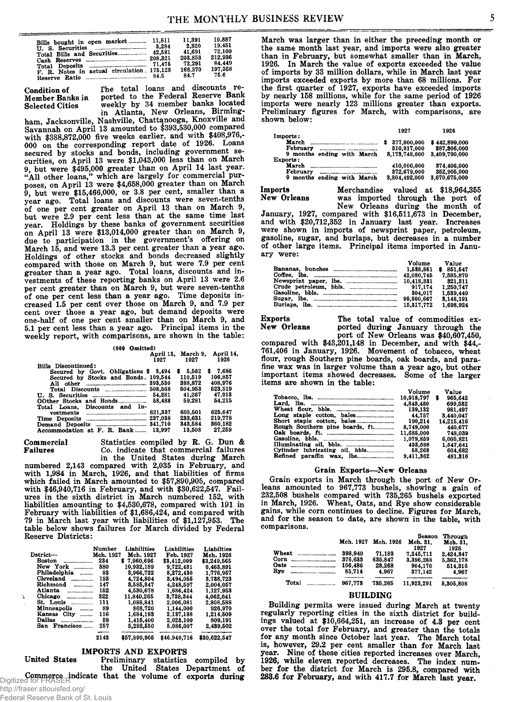| Bills bought in open market<br>U. S. Securities <b>Election</b> 3,284<br>F. R. Notes in actual circulation. 175,128 | 11.611<br>42.581 | 11.391<br>2.320<br>41.691<br>203.853<br>72.291<br>168,370<br>84.7 | 10.887<br>19.451<br>72.109<br>212.936<br>84.449<br>197.358<br>75.6 |
|---------------------------------------------------------------------------------------------------------------------|------------------|-------------------------------------------------------------------|--------------------------------------------------------------------|
|---------------------------------------------------------------------------------------------------------------------|------------------|-------------------------------------------------------------------|--------------------------------------------------------------------|

**Condition of** *The* **total loans and discounts re-Member Banks in ported to the Federal Reserve Bank Selected Cities weekly by 34 member banks located in Atlanta, New Orleans, Birming-**

**ham, Jacksonville, Nashville, Chattanooga, Knoxville and Savannah on April 13 amounted to \$393,530,000 compared with \$388,872,000 five weeks earlier, and with \$408,976,- 000 on the corresponding report date of 1926. Loans** secured by stocks and bonds, including government se**curities, on April 13 were \$1,043,000 less than on March 9, but were \$495,000 greater than on April 14 last year. "All other loans," which are largely for commercial purposes, on April 13 were \$4,658,000 greater than on March 9, but were \$15,466,000, or 3.8 per cent, smaller than a year ago. Total loans and discounts were seven-tenths of one per cent greater on April 13 than on March 9, but were 2.9 per cent less than at the same time last year. Holdings by these banks of government securities on April 13 were \$13,014,000 greater than on March 9, due to participation in the government's offering on March 15, and were 13.3 per cent greater than a year ago. Holdings of other stocks and bonds decreased slightly compared with those on March 9, but were 7.9 per cent greater than a year ago. Total loans, discounts and investments of these reporting banks on April 13 were 2.6 per cent greater than on March 9, but were seven-tenths of one per cent less than a year ago. Time deposits increased 1.5 per cent over those on March 9, and 7.9 per cent over those a year ago, but demand deposits were one-half of one per cent smaller than on March 9, and 5.1 per cent less than a year ago. Principal items in the weekly report, with comparisons, are shown in the table:**

| Omitted)<br>(000 |  |
|------------------|--|
|------------------|--|

| (000 Omitted)                         |                    |           |
|---------------------------------------|--------------------|-----------|
|                                       | April 13. March 9. | April 14, |
| 1927                                  | 1927               | 1926      |
| Bills Discontinued:                   |                    |           |
| Secured by Govt. Obligations \$ 5,494 | \$5.562            | \$7.686   |
| Secured by Stocks and Bonds. 109,544  | 110.519            | 106.857   |
| 393.530                               | 388.872            | 408.976   |
| 508.568                               | 504.953            | 523.519   |
| 54.281                                | 41.267             | 47.913    |
| 58.488                                | 59.281             | 54.215    |
| Total Loans. Discounts and In-        |                    |           |
| 621,337                               | 605.501            | 625.647   |
| 237.038                               | 233.631            | 219.778   |
|                                       | 343.584            | 860.182   |
| Accommodation at F. R. Bank<br>13.997 | 13.508             | 27.259    |

**Commercial Statistics compiled by R. G. Dun** *&* **Failures Co. indicate that commercial failures**

**in the United States during March numbered 2,143 compared with 2,035 in February, and with 1,984 in March, 1926, and that liabilities of firms which failed in March amounted to \$57,890,905, compared with \$46,940,716 in February, and with \$30,622,547. Failures in the sixth district in March numbered 152, with liabilities amounting to \$4,530,678, compared with 191 in February with liabilities of \$1,686,424, and compared with 79 in March last year with liabilities of \$1,127,953. The table below shows failures for March divided by Federal Reserve Districts:**

|                             | Number    | Liabilities | Liabilities | Liabilties  |
|-----------------------------|-----------|-------------|-------------|-------------|
| Dstrict—                    | Mch. 1927 | Mch. 1927   | Feb. 1927   | Mch. 1926   |
| Boston                      | 234       | \$7.960.696 | \$3.412.009 | \$3,249,565 |
| New York<br>.               | 380       | 10,932,189  | 9.722.481   | 6.463.891   |
| Philadelphia<br>--------    | 83        | 3.966.722   | 8.272.430   | 1.776.957   |
| Cleveland<br>-------------- | 193       | 4.724.804   | 3.494.055   | 3,738,723   |
| Richmond                    | 147       | 3.585.847   | 4,248,597   | 2.004.057   |
| Atlanta<br>---------------- | 152       | 4.530.678   | 1,686,424   | 1,127,953   |
| Chicago                     | 322       | 11,840,265  | 3,738,344   | 4.062.641   |
| $St.$ Louis                 | 111       | 1.088.841   | 2.006.081   | 2.808.588   |
| Minneapolis<br>-------      | 89        | 868,720     | 1.144.000   | 926,970     |
| Kansas City                 | 116       | 1.684.193   | 2.137.188   | 1.214.509   |
| Dallas                      | 59        | 1.415.400   | 2.023.100   | 809.191     |
| San Francisco               | 257       | 5,292,550   | 5.086.007   | 2,439,502   |
|                             |           |             |             |             |

# **IMPORTS AND EXPORTS**

**2143 \$57,890,905 \$46,940,716 \$30,622,547**

**United States Preliminary statistics compiled by the United States Department of Commerce indicate that the volume of exports during** Digitized for FRASER **March was larger than in either the preceding month or the same month last year, and imports were also greater than in February, but somewhat smaller than in March, 1926. In March the value of exports exceeded the value of imports by 33 million dollars, while in March last year imports exceeded exports by more than 68 millions. For the first quarter of 1927, exports have exceeded imports by nearly 158 millions, while for the same period of 1926 imports were nearly 123 millions greater than exports. Preliminary figures for March, with comparisons, are shown below:**

| Imports:                               | 1927          | 1926          |
|----------------------------------------|---------------|---------------|
|                                        | 377.000.000   | \$442,899,000 |
| February                               | 310,917,000   | 387,306,000   |
| 9 months ending with March<br>Exports: | 3.173.748.000 | 3.409.790.000 |
| March                                  | 410.000.000   | 374,406,000   |
| February                               | 372,679,000   | 352,905,000   |
| months ending with March<br>9          | 3,804,492,000 | 3.670.675.000 |

**Imports Merchandise valued at \$18,964,355 New Orleans was imported through the port of**

**New Orleans during the month of January, 1927, compared with \$16,511,673 in December, and with \$20,712,352 in January last year. Increases were shown in imports of newsprint paper, petroleum, gasoline, sugar, and burlaps, but decreases in a number of other large items. Principal items imported in January were:**

|                                                            | Volume<br>1.538.861      | Value<br>\$851.547   |
|------------------------------------------------------------|--------------------------|----------------------|
|                                                            | 42.080.745<br>10.418.831 | 7,585,870<br>321.311 |
|                                                            | 917.174                  | 1.250.747            |
|                                                            | 304.017                  | 1.539.440            |
|                                                            | 99.800.667               | 8.148.191            |
| Burlaps, $\ln$ , $\ldots$ , $\ldots$ , $\ldots$ , $\ldots$ | 15.317.772               | 1,698,924            |

**Exports** The total value of commodities ex-<br>New Orleans ported during January through the **New Orleans ported during January through the port of New Orleans was \$40,607,450,**

**compared with \$43,201,148 in December, and with \$44,- 761,406 in January, 1926. Movement of tobacco, wheat flour, rough Southern pine boards, oak boards, and parafine wax was in larger volume than a year ago, but other important items showed decreases. Some of the larger items are shown in the table:**

|                                 | Volume     | Value        |
|---------------------------------|------------|--------------|
|                                 | 10.918.797 | 965.642<br>S |
|                                 | 4.848.480  | 699.532      |
|                                 | 139.132    | 981.497      |
|                                 |            | 3.440.047    |
|                                 | 190.214    | 14.215.416   |
| Rough Southern pine boards, ft. | 8,749,000  | 440.677      |
|                                 | 11.685.000 | 748.039      |
|                                 | 1.079.859  | 6.005.821    |
|                                 | 483.688    | 1.547.641    |
| Cylinder lubricating oil, bbls. | 58.268     | 604,682      |
|                                 | 9.411.362  | 481.816      |

#### **Grain Exports—New Orleans**

**Grain exports in March through the port of New Orleans amounted to 967,773 bushels, showing a gain of 232,508 bushels compared with 735,265 bushels exported in March, 1926. Wheat, Oats, and Rye show considerable gains, while corn continues to decline. Figures for March, and for the season to date, are shown in the table, with comparisons.**

|                                     | Mch. 1927 | Mch. 1926 | <b>Season</b><br>Mch. 31.<br>1927 | Through<br>Mch. 31.<br>1926 |
|-------------------------------------|-----------|-----------|-----------------------------------|-----------------------------|
| Wheat                               | 398.940   | 71.183    | 7.245.711                         | 2.424.347                   |
| Corn<br>--------------------------- | 376.633   | 635.847   | 3.396.268                         | 5.362.178                   |
| Oats<br>--------------------------  | 106.486   | 23.268    | 904.170                           | 514.316                     |
| Rye                                 | 85,714    | 4.967     | 377.142                           | 4.967                       |
| Total<br>-------------------        | 967.778   | 735.265   | 11,923,291                        | 8,305,808                   |

#### **BUILDING**

**Building permits were issued during March at twenty regularly reporting cities in the sixth district for buildings valued at \$10,664,251, an increase of 4.3 per cent over the total for February, and greater than the totals for any month since October last year. The March total is, however, 29.2 per cent smaller than for March last year. Nine of these cities reported increases over March, 1926, while eleven reported decreases. The index number for the district for March is 295.8, compared with 283.6 for February, and with 417.7 for March last year.**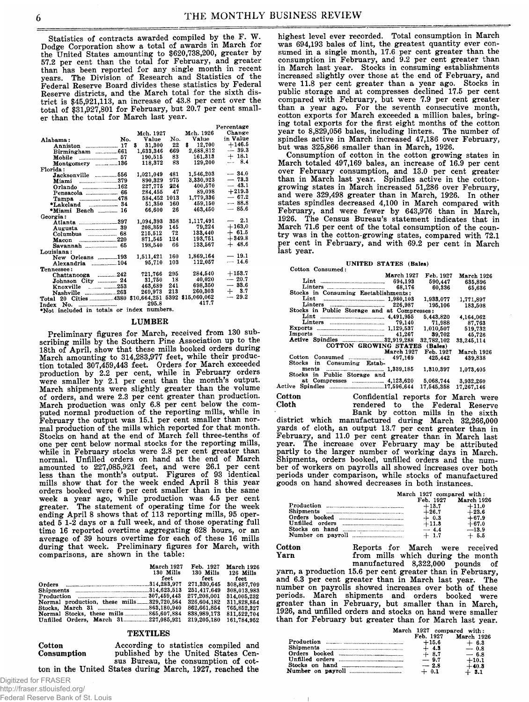**Statistics of contracts awarded compiled by the F. W. Dodge Corporation show a total of awards in March for the United States amounting to \$620,738,200, greater by 57.2 per cent than the total for February, and greater than has been reported for any single month in recent years. The Division of Research and Statistics of the Federal Reserve Board divides these statistics by Federal Reserve districts, and the March total for the sixth district is \$45,921,113, an increase of 43.8 per cent over the total of \$31,927,801 for February, but 20.7 per cent smaller than the total for March last year.**

|                                             |              |      |                   | Percentage |
|---------------------------------------------|--------------|------|-------------------|------------|
|                                             | Mch. 1927    |      | Mch. 1926         | Change     |
| No.<br>Alabama:                             | Value        | No.  | Value             | in Value   |
| Anniston  17                                | 31,300<br>\$ | 22   | 12.700<br>\$      | $+146.5$   |
| Birmingham 661                              | 1.633.346    | 669  | 2,688,812         | $-39.3$    |
| Mobile                                      | 190,515      | 83   | 161,313           | $+18.1$    |
| Montgomery 136                              | 118,372      | 83   | 129,200           | $-$ 8.4    |
| Florida:                                    |              |      |                   |            |
| Jacksonville 556                            | 1.021.049    | 481  | 1,546,203         | $-34.0$    |
|                                             | 890.329      | 975  | 3,330,923         | $-73.3$    |
| Orlando 162                                 | 227.775      | 224  | 400.570           | $-43.1$    |
|                                             | 284.455      | 47   | 89,098            | $+219.3$   |
|                                             | 584,452      | 1013 | 1,779,336         | $-67.2$    |
| *Lakeland  34                               | 51.350       | 160  | 459.150           | $-88.8$    |
|                                             | 66,600       | 26   | 463.450           | $-85.6$    |
| Georgia:                                    |              |      |                   |            |
|                                             | 1,094,393    | 358  | 1,117,491         | $-2.1$     |
|                                             | 208,359      | 145  | 79,224            | $+163,0$   |
| Columbus $\frac{68}{1000}$                  | 215,512      | 72   | 133,440           | $+$ 61.5   |
|                                             | 871,545      | 124  | 193.751           | $+349.8$   |
| Savannah  65                                | 198,540      | 66   | 133.567           | $+48.6$    |
| Louisiana:                                  |              |      |                   |            |
| New Orleans 193                             | 1.511.421    | 160  | 1,869,164         | $-19.1$    |
| Alexandria 104                              | 95,710       | 103  | 112.057           | $-14.6$    |
| Tennessee:                                  |              |      |                   |            |
| Chattanooga 242                             | 721.766      | 295  | 284.540           | $+153.7$   |
| Johnson City  24                            | 31,750       | - 18 | 40.020            | $-20.7$    |
| Knoxville  253                              | 463,689      | 241  | 698,350           | $-33.6$    |
|                                             | 269,973      | 213  | 260,303           | $+3.7$     |
| Total 20 Cities __________4380 \$10,664,251 |              |      | 5392 \$15,060,062 | $-29.2$    |
| Index No.                                   | 295.8        |      | 417.7             |            |

**Index No.**<br> **•Not included in totals or index numbers.** 

#### **LUMBER**

**Preliminary figures for March, received from 130 subscribing mills by the Southern Pine Association up to the 18th of April, show that these mills booked orders during March amounting to 314,283,977 feet, while their production totaled 307,459,443 feet. Orders for March exceeded production by 2.2 per cent, while in February orders were smaller by 2.1 per cent than the month's output. March shipments were slightly greater than the volume of orders, and were 2.3 per cent greater than production. March production was only 6.8 per cent below the computed normal production of the reporting mills, while in February the output was 15.1 per cent smaller than normal production of the mills which reported for that month. Stocks on hand at the end of March fell three-tenths of one per cent below normal stocks for the reporting mills, while in February stocks were 2.8 per cent greater than normal. Unfilled orders on hand at the end of March amounted to 227,085,921 feet, and were 26.1 per cent less than the month's output. Figures of 93 identical mills show that for the week ended April 8 this year orders booked were 6 per cent smaller than in the same week a year ago, while production was 4.5 per cent greater. The statement of operating time for the week ending April 8 shows that of 113 reporting mills, 95 operated 5 1-2 days or a full week, and of those operating full time 16 reported overtime aggregating 628 hours, or an average of 39 hours overtime for each of these 16 mills during that week. Preliminary figures for March, with comparisons, are shown in the table:**

|                                           | March 1927<br>130 Mills<br>feet | Feb. 1927<br>130 Mills<br>feet | March 1926<br>126 Mills<br>feet. |
|-------------------------------------------|---------------------------------|--------------------------------|----------------------------------|
|                                           |                                 | 271,330,645                    | 308,887,709                      |
|                                           |                                 | 251.417.649                    | 308,013,983                      |
|                                           |                                 | 277.208.001                    | 314.005.232                      |
| Normal production, these mills329,720.564 |                                 | 326.604.182                    | 311,828,854                      |
|                                           |                                 | 862,661,854                    | 765.852.327                      |
|                                           |                                 | 838,989,173                    | 811.522.704                      |
| Unfilled Orders, March 31 227,085.921     |                                 | 219,205,180                    | 161.784.952                      |

#### **TEXTILES**

#### **Cotton Consumption**

**According to statistics compiled and published by the United States Census Bureau, the consumption of cotton in the United States during March, 1927, reached the**

Digitized for FRASER http://fraser.stlouisfed.org/ Federal Reserve Bank of St. Louis **highest level ever recorded. Total consumption in March was 694,193 bales of lint, the greatest quantity ever consumed in a single month, 17.6 per cent greater than the consumption in February, and 9.2 per cent greater than in March last year. Stocks in consuming establishments increased slightly over those at the end of February, and were 11.8 per cent greater than a year ago. Stocks in public storage and at compresses declined 17.5 per cent compared with February, but were 7.9 per cent greater than a year ago. For the seventh consecutive month, cotton exports for March exceeded a million bales, bringing total exports for the first eight months of the cotton year to 8,829,056 bales, including linters. The number of spindles active in March increased 47,186 over February, but was 325,866 smaller than in March, 1926.**

**Consumption of cotton in the cotton growing states in March totaled 497,169 bales, an increase of 16.9 per cent over February consumption, and 13.0 per cent greater than in March last year. Spindles active in the cottongrowing states in March increased 51,286 over February, and were 329,498 greater than in March, 1926. In other states spindles decreased 4,100 in March compared with February, and were fewer by 643,976 than in March, 1926. The Census Bureau's statement indicates that in March 71.6 per cent of the total consumption of the country was in the cotton-growing states, compared with 72.1 per cent in February, and with 69.2 per cent in March last year.**

|                  | UNITED STATES (Bales) |  |
|------------------|-----------------------|--|
| Cotton Congumed: |                       |  |

| Cotton Consumen:                            |                   |            |            |
|---------------------------------------------|-------------------|------------|------------|
|                                             | <b>March 1927</b> | Feb. 1927  | March 1926 |
|                                             |                   | 590.447    | 635,896    |
|                                             |                   | 60.336     | 65,636     |
| Stocks in Consuming Esetablishments:        |                   |            |            |
|                                             |                   | 1,933,077  | 1,771,897  |
| Linters $\ldots$                            | 226.987           | 195.106    | 183.508    |
| Stocks in Public Storage and at Compresses: |                   |            |            |
|                                             |                   | 5,443,820  | 4.164.062  |
|                                             |                   | 71.988     | 87.763     |
|                                             |                   | 1.010.507  | 519.732    |
|                                             |                   | 89.702     | 45.726     |
| Active Spindles 22,919.288                  |                   | 32.782.102 | 33.245.114 |
| COTTON GROWING STATES                       |                   | (Bales)    |            |
|                                             | March 1927        | Feb. 1927  | March 1926 |
| Cotton                                      | 497,169           | 425.442    | 439,838    |
| Stocks in Consuming Estab-                  |                   |            |            |
|                                             |                   | 1,310,397  | 1.073.405  |
| Stocks in Public Storage and                |                   |            |            |
|                                             |                   | 5.068.744  | 3.932.260  |
| Active                                      |                   | 17.545.358 | 17.267.146 |
| $ -$                                        |                   |            |            |

**Cotton Cloth Confidential reports for March were rendered to the Federal Reserve**

**Bank by cotton mills in the sixth district which manufactured during March 32,266,000 yards of cloth, an output 13.7 per cent greater than in February, and 11.0 per cent greater than in March last year. The increase over February may be attributed partly to the larger number of working days in March. Shipments, orders booked, unfilled orders and the number of workers on payrolls all showed increases over both periods under comparison, while stocks of manufactured goods on hand showed decreases in both instances.**

| March 1927 compared with: |  |                      |
|---------------------------|--|----------------------|
|                           |  | Feb. 1927 March 1926 |

|                               | Feb. 1927 | March 1926 |
|-------------------------------|-----------|------------|
|                               | $+13.7$   | $+11.0$    |
| Shipments <b>Example</b> 2014 | $+26.7$   | $+23.6$    |
|                               | $+ 0.3$   | $+67.9$    |
|                               | $+11.3$   | $+67.0$    |
|                               | $-4.4$    | $-13.9$    |
|                               | $+1.7$    | $+5.5$     |
|                               |           |            |

**Cotton 6 Reports for March were received<br>
<b>Yarn Reports** from mills which during the month from mills which during the month **manufactured 8,322,000 pounds of**

**yarn, a production 15.6 per cent greater than in February, and 6.3 per cent greater than in March last year. The number on payrolls showed increases over both of these periods. March shipments and orders booked were greater than in February, but smaller than in March, 1926, and unfilled orders and stocks on hand were smaller than for February but greater than for March last year.**

| March 1927 compared with: |                   |
|---------------------------|-------------------|
| Feb. 1927                 | <b>March 1926</b> |
| $+15.6$                   | $+6.3$            |
| $+4.3$                    | $-0.8$            |
| $+8.7$                    | $-6.8$            |
| $-9.7$                    | $+10.1$           |
| $-2.8$                    | $+40.3$           |
| $+ 0.1$                   | $+3.1$            |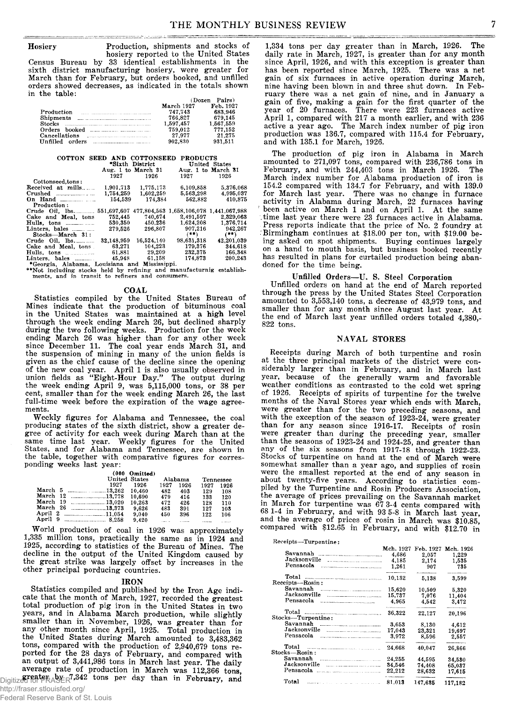**Hosiery Production, shipments and stocks of hosiery reported to the United States Census Bureau by 33 identical establishments in the sixth district manufacturing hosiery, were greater for March than for February, but orders booked, and unfilled orders showed decreases, as indicated in the totals shown**

| in the table:                                                                                                            |            |           |
|--------------------------------------------------------------------------------------------------------------------------|------------|-----------|
|                                                                                                                          | (Dozen     | Pairs)    |
|                                                                                                                          | March 1927 | Feb. 1927 |
| Production                                                                                                               | 747.743    | 683.946   |
|                                                                                                                          | 766.827    | 679.145   |
| <b>Stocks</b>                                                                                                            | 1.597.457  | 1,567,559 |
| hooked and the contract of the contract of the contract of the contract of the contract of the contract of the<br>Orders | 759.012    | 777,152   |
| Cancellations                                                                                                            | 27.977     | 21.275    |
| IInfilled orders                                                                                                         | 902.830    | 931,511   |
|                                                                                                                          |            |           |

| COTTON SEED AND COTTONSEED                                                                                               |           | *Sixth District    | <b>PRODUCTS</b>    | United States |
|--------------------------------------------------------------------------------------------------------------------------|-----------|--------------------|--------------------|---------------|
|                                                                                                                          |           | Aug. 1 to March 31 | Aug. 1 to March 31 |               |
|                                                                                                                          | 1927      | 1926               | 1927               | 1926          |
| Cottonseed, tons:                                                                                                        |           |                    |                    |               |
| Received at mills                                                                                                        | 1.901.713 | 1,775,173          | 6,109,858          | 5,376,068     |
|                                                                                                                          | 1,754,259 | 1,602,259          | 5,563,298          | 4,995,037     |
| On Hand $\ldots$                                                                                                         | 154,539   | 174.384            | 562.882            | 410,875       |
| Production:                                                                                                              |           |                    |                    |               |
| Crude Oil, lbs 551,697,607 477,804,563 1,658,106,078 1,441,067,988                                                       |           |                    |                    |               |
| Cake and Meal. tons                                                                                                      | 752,445   | 740.674            | 2,491,597          | 2,329,063     |
| Hulls, tons                                                                                                              | 530,350   | 450.236            | 1,624,208          | 1.376.714     |
| Linters, bales                                                                                                           | 279.526   | 296,807            | 907,216            | 942,267       |
| Stocks—March 31:                                                                                                         |           |                    | $(***)$            | $(***)$       |
|                                                                                                                          |           |                    | 98.631.318         | 42,201,039    |
| Cake and Meal. tons.                                                                                                     | 63,271    | 104.223            | 179.376            | 344.618       |
| Hulls, tons $\ldots$                                                                                                     |           | 61,881 29,209      | 232.375            | 166.348       |
|                                                                                                                          |           |                    | 174.873            | 200.243       |
| *Georgia, Alabama, Louisiana and Mississippi.                                                                            |           |                    |                    |               |
| **Not including stocks held by refining and manufacturnig establish-<br>ments, and in transit to refiners and consumers. |           |                    |                    |               |

#### **COAL**

**Statistics compiled by the United States Bureau of Mines indicate that the production of bituminous coal in the United States was maintained at a high level through the week ending March 26, but declined sharply during the two following weeks. Production for the week ending March 26 was higher than for any other week since December 11. The coal year ends March 31, and the suspension of mining in many of the union fields is given as the chief cause of the decline since the opening of the new coal year. April 1 is also usually observed in union fields as "Eight-Hour Day." The output during the week ending April 9, was 5,115,000 tons, or 38 per cent, smaller than for the week ending March 26, the last full-time week before the expiration of the wage agreements.**

**Weekly figures for Alabama and Tennessee, the coal producing states of the sixth district, show a greater degree of activity for each week during March than at the same time last year. Weekly figures for the United States, and for Alabama and Tennessee, are shown in the table, together with comparative figures for corresponding weeks last year:**

|          | United States   | $(000$ Omitted) |      | Alabama | Tennessee |      |
|----------|-----------------|-----------------|------|---------|-----------|------|
|          | 1927            | 1926            | 1927 | 1926    | 1927      | 1926 |
|          |                 | 10.460          | 482  | 403     | 129       | 108  |
|          | March 12 13,778 | 10.690          | 479  | 416     | 133       | 120  |
|          | March 19 13,020 | 10.263          | 472  | 426     | 128       | 110  |
| March 26 | <u>18.373</u>   | 9.626           | 483  | 391     | 127       | 103  |
|          | April 2 11.054  | 9.040           | 450  | 396     | 122       | 106  |
| April 9  | 8.258           | 9.420           |      |         |           |      |

**World production of coal in 1926 was approximately 1,335 million tons, practically the same as in 1924 and 1925, according to statistics of the Bureau of Mines. The decline in the output of the United Kingdom caused by the great strike was largely offset by increases in the other principal porducing countries.**

#### $\overline{R}$ <sup>N</sup>

**Statistics compiled and published by the Iron Age indicate that the month of March, 1927, recorded the greatest total production of pig iron in the United States in two years, and in Alabama March production, while slightly smaller than in November, 1926, was greater than for any other month since April, 1925. Total production in the United States during March amounted to 3,483,362 tons, compared with the production of 2,940,679 tons reported for the 28 days of February, and compared with an output of 3,441,986 tons in March last year. The daily average rate of production in March was 112,366 tons,** Digitized for FRASER<sup>7,342</sup> tons per day than in February, and

**1,334 tons per day greater than in March, 1926. The daily rate in March, 1927, is greater than for any month since April, 1926, and with this exception is greater than has been reported since March, 1925. There was a net gain of six furnaces in active operation during March, nine having been blown in and three shut down. In February there was a net gain of nine, and in January a gain of five, making a gain for the first quarter of the year of 20 furnaces. There were 223 furnaces active April 1, compared with 217 a month earlier, and with 236 active a year ago. The March index number of pig iron production was 136.7, compared with 115.4 for February, and with 135.1 for March, 1926.**

**The production of pig iron in Alabama in March amounted to 271,097 tons, compared with 236,786 tons in February, and with 244,403 tons in March 1926. The March index number for Alabama production of iron is 154.2 compared with 134.7 for February, and with 139.0 for March last year. There was no change in furnace activity in Alabama during March, 22 furnaces having been active on March 1 and on April 1. At the same time last year there were 23 furnaces active in Alabama. Press reports indicate that the price of No. 2 foundry at .'Birmingham continues at \$18.00 per ton, with \$19.00 being asked on spot shipments. Buying continues largely on a hand to mouth basis, but business booked recently has resulted in plans for curtailed production being abandoned for the time being.**

#### **Unfilled Orders—U. S. Steel Corporation**

**Unfilled orders on hand at the end of March reported through the press by the United States Steel Corporation amounted to 3,553,140 tons, a decrease of 43,979 tons, and smaller than for any month since August last year. At the end of March last year unfilled orders totaled 4,380,- 822 tons.**

#### **NAVAL STORES**

**Receipts during March of both turpentine and rosin at the three principal markets of the district were considerably larger than in February, and in March last year, because of the generally warm and favorable weather conditions as contrasted to the cold wet spring of 1926. Receipts of spirits of turpentine for the twelve months of the Naval Stores year which ends with March, were greater than for the two preceding seasons, and with the exception of the season of 1923-24, were greater than for any season since 1916-17. Receipts of rosin were greater than during the preceding year, smaller than the seasons of 1923-24 and 1924-25, and greater than any of the six seasons from 1917-18 through 1922-23. Stocks of turpentine on hand at the end of March were somewhat smaller than a year ago, and supplies of rosin** were the smallest reported at the end of any season in **about twenty-five years. According to statistics compiled by the Turpentine and Rosin Producers Association, the average of prices prevailing on the Savannah market in March for turpentine was 67 3-4 cents compared with 68 1-4 in February, and with 93 5-8 in March last year, and the average of prices of rosin in March was \$10.85, compared with \$12.65 in February, and with \$12.70 in**

| Receipts-Turpentine:                                                                                                                                                                                                                                                                                                                                                                                                                                         |           |                  |                     |
|--------------------------------------------------------------------------------------------------------------------------------------------------------------------------------------------------------------------------------------------------------------------------------------------------------------------------------------------------------------------------------------------------------------------------------------------------------------|-----------|------------------|---------------------|
|                                                                                                                                                                                                                                                                                                                                                                                                                                                              | Mch. 1927 | Feb. 1927        | Mch. 1926           |
| Savannah                                                                                                                                                                                                                                                                                                                                                                                                                                                     | 4.686     | 2,057            | 1,229               |
| Jacksonville                                                                                                                                                                                                                                                                                                                                                                                                                                                 | 4.185     | 2,174            | 1.535               |
| Pensacola                                                                                                                                                                                                                                                                                                                                                                                                                                                    | 1,261     | 907              | 735                 |
| Total<br>Receipts—Rosin:                                                                                                                                                                                                                                                                                                                                                                                                                                     | 10,132    | 5.138            | 3,599               |
| Savannah                                                                                                                                                                                                                                                                                                                                                                                                                                                     |           |                  |                     |
| Jacksonville                                                                                                                                                                                                                                                                                                                                                                                                                                                 | 15.620    | 10.509           | 5,320               |
| -----------------------------------                                                                                                                                                                                                                                                                                                                                                                                                                          | 15,737    | 7.076            | 11,404              |
| Pensacola                                                                                                                                                                                                                                                                                                                                                                                                                                                    | 4.965     | 4,542            | 3,472               |
| Total<br>Stocks---Turpentine:                                                                                                                                                                                                                                                                                                                                                                                                                                | 36.322    | 22,127           | 20.196              |
|                                                                                                                                                                                                                                                                                                                                                                                                                                                              |           |                  |                     |
| Savannah                                                                                                                                                                                                                                                                                                                                                                                                                                                     | 3.653     | 8.130            | 4.612               |
| Jacksonville                                                                                                                                                                                                                                                                                                                                                                                                                                                 | 17.043    | 23.321           | 19,697              |
| Pensacola                                                                                                                                                                                                                                                                                                                                                                                                                                                    | 3.972     | 8.596            | 2,557               |
| Total<br>$\label{eq:1} \begin{split} &\text{where} \; \mathbf{u} = \mathbf{u} + \mathbf{u} + \mathbf{u} + \mathbf{u} + \mathbf{u} + \mathbf{u} + \mathbf{u} + \mathbf{u} + \mathbf{u} + \mathbf{u} + \mathbf{u} + \mathbf{u} + \mathbf{u} + \mathbf{u} + \mathbf{u} + \mathbf{u} + \mathbf{u} + \mathbf{u} + \mathbf{u} + \mathbf{u} + \mathbf{u} + \mathbf{u} + \mathbf{u} + \mathbf{u} + \mathbf{u} + \mathbf{u} + \mathbf{u} + \mathbf{$<br>Stocks-Rosin: | 24.668    | ______<br>40.047 | ---------<br>26,866 |
| Savannah                                                                                                                                                                                                                                                                                                                                                                                                                                                     | 24,255    | 44,595           | 34,530              |
| Jacksonville                                                                                                                                                                                                                                                                                                                                                                                                                                                 | 34.546    | 74.408           | 65.037              |
| Pensacola                                                                                                                                                                                                                                                                                                                                                                                                                                                    | 22,212    | 28,632           | 17.615              |
|                                                                                                                                                                                                                                                                                                                                                                                                                                                              |           |                  |                     |
| Total                                                                                                                                                                                                                                                                                                                                                                                                                                                        | 81.013    | 147.635          | 117.182             |